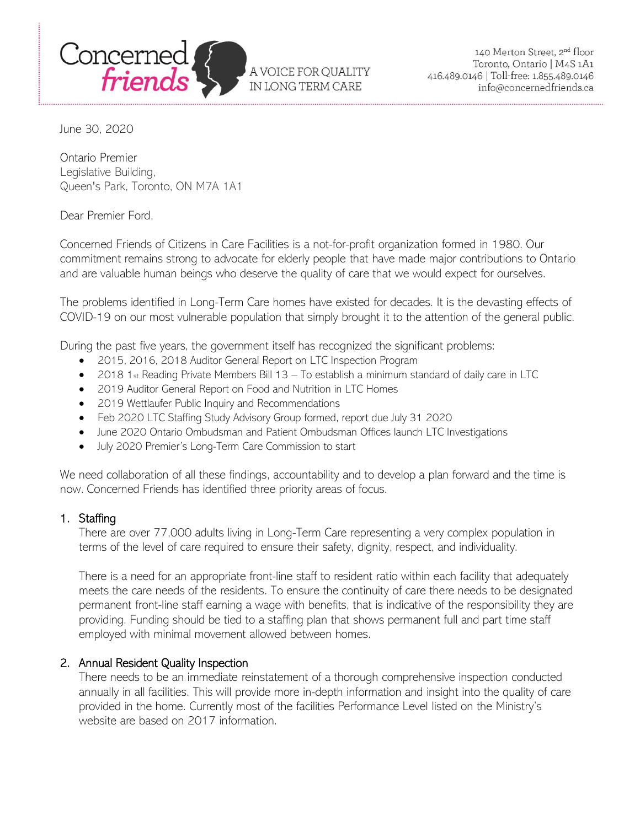

A VOICE FOR QUALITY IN LONG TERM CARE

June 30, 2020

Ontario Premier Legislative Building, Queen's Park, Toronto, ON M7A 1A1

Dear Premier Ford,

Concerned Friends of Citizens in Care Facilities is a not-for-profit organization formed in 1980. Our commitment remains strong to advocate for elderly people that have made major contributions to Ontario and are valuable human beings who deserve the quality of care that we would expect for ourselves.

The problems identified in Long-Term Care homes have existed for decades. It is the devasting effects of COVID-19 on our most vulnerable population that simply brought it to the attention of the general public.

During the past five years, the government itself has recognized the significant problems:

- 2015, 2016, 2018 Auditor General Report on LTC Inspection Program
- 2018 1st Reading Private Members Bill 13 To establish a minimum standard of daily care in LTC
- 2019 Auditor General Report on Food and Nutrition in LTC Homes
- 2019 Wettlaufer Public Inquiry and Recommendations
- Feb 2020 LTC Staffing Study Advisory Group formed, report due July 31 2020
- June 2020 Ontario Ombudsman and Patient Ombudsman Offices launch LTC Investigations
- July 2020 Premier's Long-Term Care Commission to start

We need collaboration of all these findings, accountability and to develop a plan forward and the time is now. Concerned Friends has identified three priority areas of focus.

## 1. Staffing

There are over 77,000 adults living in Long-Term Care representing a very complex population in terms of the level of care required to ensure their safety, dignity, respect, and individuality.

There is a need for an appropriate front-line staff to resident ratio within each facility that adequately meets the care needs of the residents. To ensure the continuity of care there needs to be designated permanent front-line staff earning a wage with benefits, that is indicative of the responsibility they are providing. Funding should be tied to a staffing plan that shows permanent full and part time staff employed with minimal movement allowed between homes.

## 2. Annual Resident Quality Inspection

There needs to be an immediate reinstatement of a thorough comprehensive inspection conducted annually in all facilities. This will provide more in-depth information and insight into the quality of care provided in the home. Currently most of the facilities Performance Level listed on the Ministry's website are based on 2017 information.